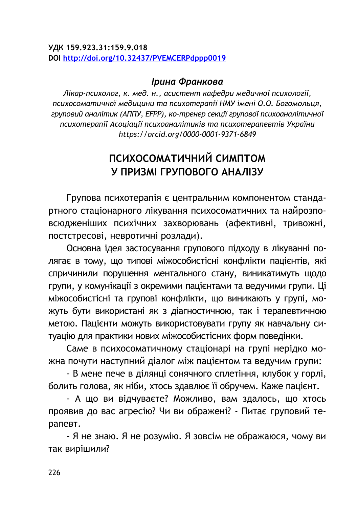#### **ƛДК 159.923.31:159.9.018 DOI <http://doi.org/10.32437/PVEMCERPdppp0019>**

### **Ірина Франкова**

 $J$ *iкар-психолог, к. мед. н., асистент кафедри медичної психології,* психосоматичної медицини та психотерапії НМУ імені О.О. Богомольця, груповий аналітик (АППУ, EFPP), ко-тренер секції групової психоаналітичної ncuxomepanii Acoujauji ncuxoaналітиків та ncuxomepaneвтів України *https://orcid.org/0000-0001-9371-6849*

# ПСИХОСОМАТИЧНИЙ СИМПТОМ У ПРИЗМІ ГРУПОВОГО АНАЛІЗУ

Групова психотерапія є центральним компонентом стандартного стаціонарного лікування психосоматичних та найрозповсюдженіших психічних захворювань (афективні, тривожні, постстресові, невротичні розлади).

Основна ідея застосування групового підходу в лікуванні полягає в тому, що типові міжособистісні конфлікти пацієнтів, які спричинили порушення ментального стану, виникатимуть щодо групи, у комунікації з окремими пацієнтами та ведучими групи. Ці міжособистісні та групові конфлікти, що виникають у групі, можуть бути використані як з діагностичною, так і терапевтичною метою. Пацієнти можуть використовувати групу як навчальну ситуацію для практики нових міжособистісних форм поведінки.

Саме в психосоматичному стаціонарі на групі нерідко можна почути наступний діалог між пацієнтом та ведучим групи:

- В мене пече в ділянці сонячного сплетіння, клубок у горлі, болить голова, як ніби, хтось здавлює її обручем. Каже пацієнт.

- А що ви відчуваєте? Можливо, вам здалось, що хтось проявив до вас агресію? Чи ви ображені? - Питає груповий терапевт.

- Я не знаю. Я не розумію. Я зовсім не ображаюся, чому ви так вирішили?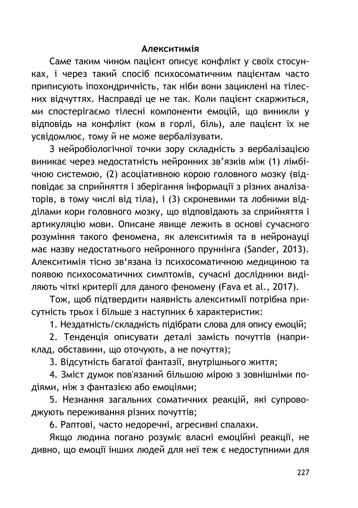### **Алекситимія**

Саме таким чином пацієнт описує конфлікт у своїх стосунках, і через такий спосіб психосоматичним пацієнтам часто приписують іпохондричність, так ніби вони зациклені на тілесних відчуттях. Насправді це не так. Коли пацієнт скаржиться, ми спостерігаємо тілесні компоненти емоцій, що виникли у відповідь на конфлікт (ком в горлі, біль), але пацієнт їх не усвідомлює, тому й не може вербалізувати.

З нейробіологічної точки зору складність з вербалізацією виникає через недостатність нейронних зв'язків між (1) лімбічною системою, (2) асоціативною корою головного мозку (відповідає за сприйняття і зберігання інформації з різних аналізаторів, в тому числі від тіла), і (3) скроневими та лобними відділами кори головного мозку, що відповідають за сприйняття і артикуляцію мови. Описане явише лежить в основі сучасного розуміння такого феномена, як алекситимія та в нейронауці має назву недостатнього нейронного пруннінга (Sander, 2013). Алекситимія тісно зв'язана із психосоматичною медициною та появою психосоматичних симптомів, сучасні дослідники виділяють чіткі критерії для даного феномену (Fava et al., 2017).

Тож, щоб підтвердити наявність алекситимії потрібна присутність трьох і більше з наступних 6 характеристик:

1. Нездатність/складність підібрати слова для опису емоцій;

2. Тенденція описувати деталі замість почуттів (наприклад, обставини, що оточують, а не почуття);

3. Відсутність багатої фантазії, внутрішнього життя;

4. Зміст думок пов'язаний більшою мірою з зовнішніми подіями, ніж з фантазією або емоціями;

5. Незнання загальних соматичних реакцій, які супроводжують переживання різних почуттів;

6. Раптові, часто недоречні, агресивні спалахи.

Якшо людина погано розуміє власні емоційні реакції, не дивно, що емоції інших людей для неї теж є недоступними для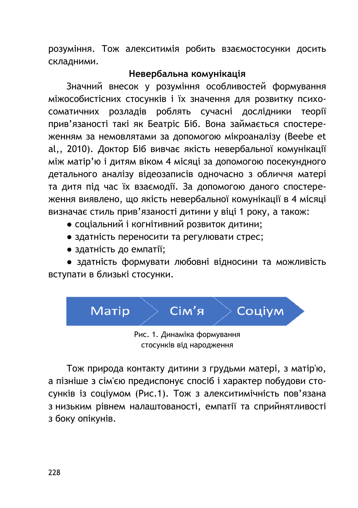розуміння. Тож алекситимія робить взаємостосунки досить складними.

# Невербальна комунікація

Значний внесок у розуміння особливостей формування МІЖОСО ОИСТІСНИХ СТОСУНКІВ І ЇХ ЗНАЧЕННЯ ДЛЯ ДОЗВИТКУ ПСИХОсоматичних розладів роблять сучасні дослідники теорії прив'язаності такі як Беатріс Біб. Вона займається спостереженням за немовлятами за допомогою мікроаналізу (Beebe et al,, 2010). Доктор Біб вивчає якість невербальної комунікації між матір'ю і дитям віком 4 місяці за допомогою посекундного детального аналізу відеозаписів одночасно з обличчя матері та дитя під час їх взаємодії. За допомогою даного спостереження виявлено, що якість невербальної комунікації в 4 місяці визначає стиль прив'язаності дитини у віці 1 року, а також:

- соціальний і когнітивний розвиток дитини;
- здатність переносити та регулювати стрес;
- здатність до емпатії;

• здатність формувати любовні відносини та можливість вступати в близькі стосунки.



Тож природа контакту дитини з грудьми матері, з матір'ю, а пізніше з сім'єю предиспонує спосіб і характер побудови стосунків із соціумом (Рис.1). Тож з алекситимічність пов'язана з низьким рівнем налаштованості, емпатії та сприйнятливості з боку опікунів.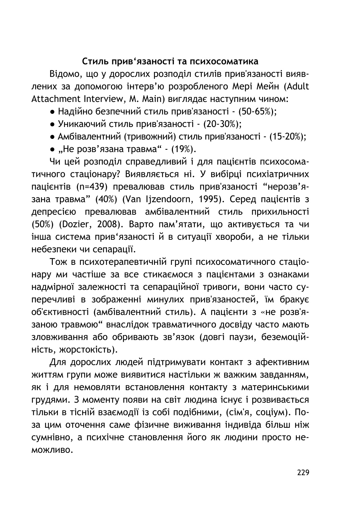## Стиль прив'язаності та психосоматика

Відомо, що у дорослих розподіл стилів прив'язаності виявлених за допомогою інтерв'ю розробленого Мері Мейн (Adult Attachment Interview, M. Main) виглядає наступним чином:

- Надійно безпечний стиль прив'язаності (50-65%);
- Уникаючий стиль прив'язаності (20-30%);
- Амбівалентний (тривожний) стиль прив'язаності (15-20%);
- "Не розв'язана травма"  $(19%)$ .

Чи цей розподіл справедливий і для пацієнтів психосоматичного стаціонару? Виявляється ні. У вибірці психіатричних пацієнтів (n=439) превалював стиль прив'язаності "нерозв'язана травма" (40%) (Van Ijzendoorn, 1995). Серед пацієнтів з депресією превалював амбівалентний стиль прихильності (50%) (Dozier, 2008). Варто пам'ятати, що активується та чи інша система прив'язаності й в ситуації хвороби, а не тільки небезпеки чи сепарації.

Тож в психотерапевтичній групі психосоматичного стаціонару ми частіше за все стикаємося з пацієнтами з ознаками надмірної залежності та сепараційної тривоги, вони часто суперечливі в зображенні минулих прив'язаностей, їм бракує об'єктивності (амбівалентний стиль). А пацієнти з «не розв'язаною травмою" внаслідок травматичного досвіду часто мають зловживання або обривають зв'язок (довгі паузи, беземоційність, жорстокість).

Для дорослих людей підтримувати контакт з афективним життям групи може виявитися настільки ж важким завданням, як і для немовляти встановлення контакту з материнськими грудями. З моменту появи на світ людина існує і розвивається тільки в тісній взаємодії із собі подібними, (сім'я, соціум). Поза цим оточення саме фізичне виживання індивіда більш ніж сумнівно, а психічне становлення його як людини просто не-МОЖЛИВО.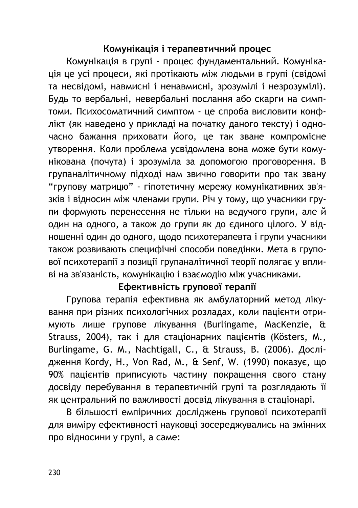# Комунікація і терапевтичний процес

Комунікація в групі - процес фундаментальний. Комунікація це усі процеси, які протікають між людьми в групі (свідомі та несвідомі, навмисні і ненавмисні, зрозумілі і незрозумілі). Будь то вербальні, невербальні послання або скарги на симптоми. Психосоматичний симптом - це спроба висловити конфлікт (як наведено у прикладі на початку даного тексту) і одночасно бажання приховати його, це так зване компромісне үтворення. Коли проблема усвідомлена вона може бути комунікована (почута) і зрозуміла за допомогою проговорення. В групаналітичному підході нам звично говорити про так звану "групову матрицю" - гіпотетичну мережу комунікативних зв'язків і відносин між членами групи. Річ у тому, що учасники групи формують перенесення не тільки на ведучого групи, але й один на одного, а також до групи як до єдиного цілого. У відношенні один до одного, щодо психотерапевта і групи учасники також розвивають специфічні способи поведінки. Мета в групової психотерапії з позиції групаналітичної теорії полягає у впливі на зв'язаність, комунікацію і взаємодію між учасниками.

# Ефективність групової терапії

Групова терапія ефективна як амбулаторний метод лікування при різних психологічних розладах, коли пацієнти отримують лише групове лікування (Burlingame, MacKenzie, & Strauss, 2004), так і для стаціонарних пацієнтів (Kösters, M., Burlingame, G. M., Nachtigall, C., & Strauss, B. (2006). Дослідження Kordy, H., Von Rad, M., & Senf, W. (1990) показує, що 90% пацієнтів приписують частину покращення свого стану досвіду перебування в терапевтичній групі та розглядають її як центральний по важливості досвід лікування в стаціонарі.

В більшості емпіричних досліджень групової психотерапії для виміру ефективності науковці зосереджувались на змінних про відносини у групі, а саме: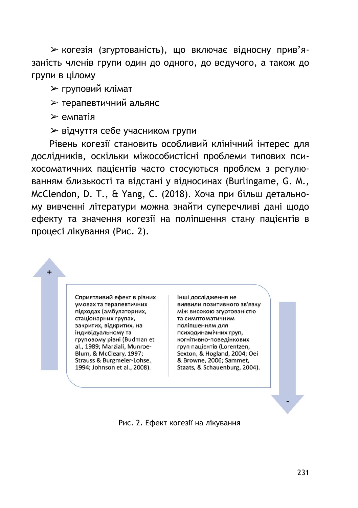≻ когезія (згуртованість), що включає відносну прив'язаність членів групи один до одного, до ведучого, а також до групи в цілому

**≻ груповий клімат** 

**≻ терапевтичний альянс** 

 $>$ емпатія

**► відчуття себе учасником групи** 

Рівень когезії становить особливий клінічний інтерес для дослідників, оскільки міжособистісні проблеми типових психосоматичних пацієнтів часто стосуються проблем з регулюванням близькості та відстані у відносинах (Burlingame, G. M., McClendon, D. T., & Yang, C. (2018). Хоча при більш детальному вивченні літератури можна знайти суперечливі дані щодо ефекту та значення когезії на поліпшення стану пацієнтів в процесі лікування (Рис. 2).

> Сприятливий ефект в різних умовах та терапевтичних підходах (амбулаторних, стаціонарних групах. закритих, відкритих, на індивідуальному та груповому рівні (Budman et al., 1989; Marziali, Munroe-Blum, & McCleary, 1997; Strauss & Burgmeier-Lohse, 1994; Johnson et al., 2008).

Інші дослідження не виявили позитивного зв'язку між високою згуртованістю та симптоматичним поліпшенням для психодинамічних груп. когнітивно-поведінкових груп пацієнтів (Lorentzen, Sexton, & Hogland, 2004; Oei & Browne, 2006; Sammet, Staats, & Schauenburg, 2004).

Рис. 2. Ефект когезії на лікування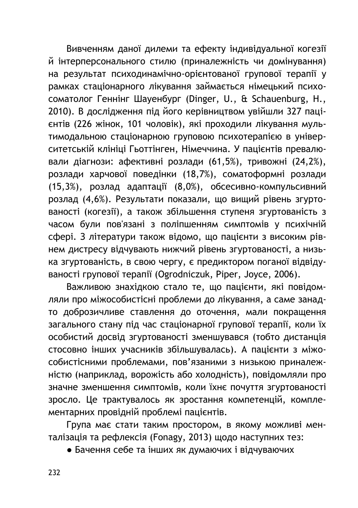Вивченням даної дилеми та ефекту індивідуальної когезії Й інтерперсонального стилю (приналежність чи домінування) на результат психодинамічно-орієнтованої групової терапії у рамках стаціонарного лікування займається німецький психоƹƶƴƨƺƶƳƶƫ ГƭƵƵǍƵƫ ƠƨƻƭƵƩƻƸƫ (Dinger, U., & Schauenburg, H., 2010). В дослідження під його керівництвом увійшли 327 пацієнтів (226 жінок, 101 чоловік), які проходили лікування мультимодальною стаціонарною груповою психотерапією в університетській клініці Гьоттінген, Німеччина. У пацієнтів превалювали діагнози: афективні розлади (61,5%), тривожні (24,2%), розлади харчової поведінки (18,7%), соматоформні розлади (15,3%), розлад адаптації (8,0%), обсесивно-компульсивний розлад (4,6%). Результати показали, що вищий рівень згуртованості (когезії), а також збільшення ступеня згуртованість з часом були пов'язані з поліпшенням симптомів у психічній сфері. З літератури також відомо, що пацієнти з високим рівнем дистресу відчувають нижчий рівень згуртованості, а низька згуртованість, в свою чергу, є предиктором поганої відвідуваності групової терапії (Ogrodniczuk, Piper, Joyce, 2006).

Важливою знахідкою стало те, що пацієнти, які повідомляли про міжособистісні проблеми до лікування, а саме занадто доброзичливе ставлення до оточення, мали покращення загального стану під час стаціонарної групової терапії, коли їх особистий досвід згуртованості зменшувався (тобто дистанція стосовно інших учасників збільшувалась). А пацієнти з міжособистісними проблемами, пов'язаними з низькою приналежністю (наприклад, ворожість або холодність), повідомляли про значне зменшення симптомів, коли їхнє почуття згуртованості зросло. Це трактувалось як зростання компетенцій, комплементарних провідній проблемі пацієнтів.

Група має стати таким простором, в якому можливі менталізація та рефлексія (Fonagy, 2013) щодо наступних тез:

• Бачення себе та інших як думаючих і відчуваючих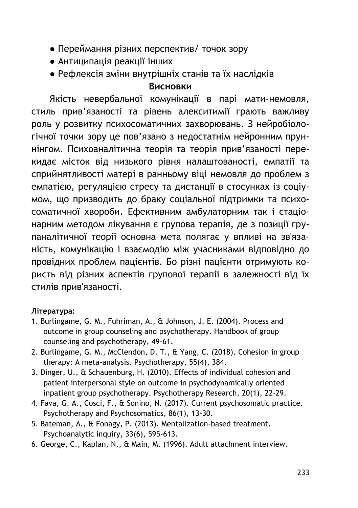- Переймання різних перспектив/ точок зору
- $\bullet$  Антиципація реакції інших
- Рефлексія зміни внутрішніх станів та їх наслідків

### **Висновки**

Якість невербальної комунікації в парі мати-немовля, стиль прив'язаності та рівень алекситимії грають важливу роль у розвитку психосоматичних захворювань. З нейробіологічної точки зору це пов'язано з недостатнім нейронним пруннінгом. Психоаналітична теорія та теорія прив'язаності перекидає місток від низького рівня налаштованості, емпатії та сприйнятливості матері в ранньому віці немовля до проблем з емпатією, регуляцією стресу та дистанції в стосунках із соціумом, що призводить до браку соціальної підтримки та психосоматичної хвороби. Ефективним амбулаторним так і стаціонарним методом лікування є групова терапія, де з позиції групаналітичної теорії основна мета полягає у впливі на зв'язаність, комунікацію і взаємодію між учасниками відповідно до провідних проблем пацієнтів. Бо різні пацієнти отримують користь від різних аспектів групової терапії в залежності від їх стилів прив'язаності.

### Література:

- 1. Burlingame, G. M., Fuhriman, A., & Johnson, J. E. (2004). Process and outcome in group counseling and psychotherapy. Handbook of group counseling and psychotherapy, 49-61.
- 2. Burlingame, G. M., McClendon, D. T., & Yang, C. (2018). Cohesion in group therapy: A meta-analysis. Psychotherapy, 55(4), 384.
- 3. Dinger, U., & Schauenburg, H. (2010). Effects of individual cohesion and patient interpersonal style on outcome in psychodynamically oriented inpatient group psychotherapy. Psychotherapy Research, 20(1), 22-29.
- 4. Fava, G. A., Cosci, F., & Sonino, N. (2017). Current psychosomatic practice. Psychotherapy and Psychosomatics, 86(1), 13-30.
- 5. Bateman, A., & Fonagy, P. (2013). Mentalization-based treatment. Psychoanalytic inquiry, 33(6), 595-613.
- 6. George, C., Kaplan, N., & Main, M. (1996). Adult attachment interview.